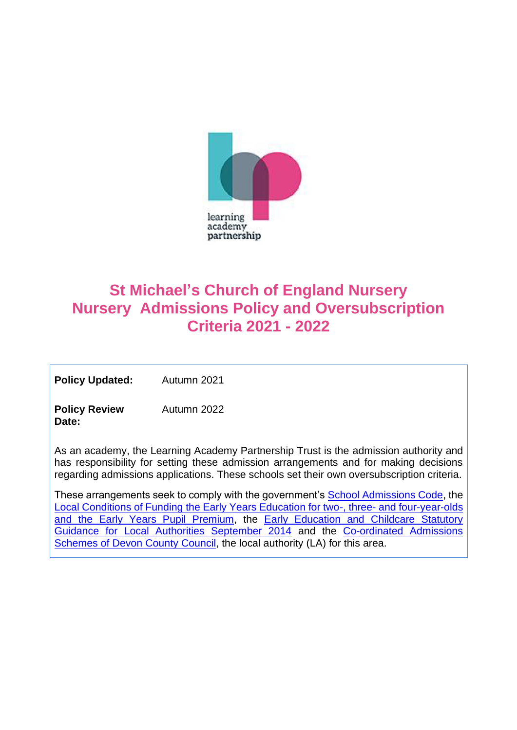

# **St Michael's Church of England Nursery Nursery Admissions Policy and Oversubscription Criteria 2021 - 2022**

**Policy Updated:** Autumn 2021

**Policy Review Date:** Autumn 2022

As an academy, the Learning Academy Partnership Trust is the admission authority and has responsibility for setting these admission arrangements and for making decisions regarding admissions applications. These schools set their own oversubscription criteria.

These arrangements seek to comply with the government's [School Admissions Code,](https://www.gov.uk/government/publications/school-admissions-code--2) the [Local Conditions of Funding the Early Years Education for two-, three-](https://www.devon.gov.uk/eycs/for-providers/business-finance-and-funding/early-education-for-2-3-and-4-year-olds/) and four-year-olds [and the Early Years Pupil Premium,](https://www.devon.gov.uk/eycs/for-providers/business-finance-and-funding/early-education-for-2-3-and-4-year-olds/) the Early Education and Childcare Statutory [Guidance for Local Authorities September 2014](https://www.gov.uk/government/publications/early-education-and-childcare--2) and the [Co-ordinated Admissions](https://new.devon.gov.uk/educationandfamilies/school-information/apply-for-a-school-place/arrangements-and-policies)  [Schemes of Devon County Council,](https://new.devon.gov.uk/educationandfamilies/school-information/apply-for-a-school-place/arrangements-and-policies) the local authority (LA) for this area.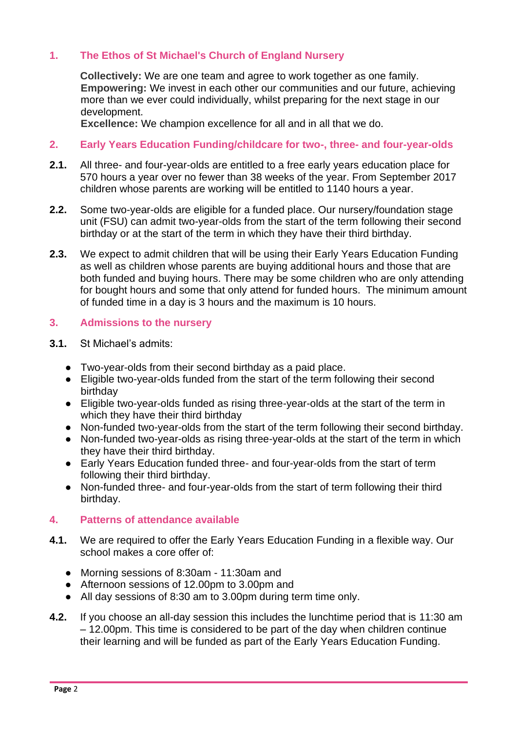# **1. The Ethos of St Michael's Church of England Nursery**

**Collectively:** We are one team and agree to work together as one family. **Empowering:** We invest in each other our communities and our future, achieving more than we ever could individually, whilst preparing for the next stage in our development.

**Excellence:** We champion excellence for all and in all that we do.

# **2. Early Years Education Funding/childcare for two-, three- and four-year-olds**

- **2.1.** All three- and four-year-olds are entitled to a free early years education place for 570 hours a year over no fewer than 38 weeks of the year. From September 2017 children whose parents are working will be entitled to 1140 hours a year.
- **2.2.** Some two-year-olds are eligible for a funded place. Our nursery/foundation stage unit (FSU) can admit two-year-olds from the start of the term following their second birthday or at the start of the term in which they have their third birthday.
- **2.3.** We expect to admit children that will be using their Early Years Education Funding as well as children whose parents are buying additional hours and those that are both funded and buying hours. There may be some children who are only attending for bought hours and some that only attend for funded hours. The minimum amount of funded time in a day is 3 hours and the maximum is 10 hours.

# **3. Admissions to the nursery**

- **3.1.** St Michael's admits:
	- Two-year-olds from their second birthday as a paid place.
	- Eligible two-year-olds funded from the start of the term following their second birthday
	- Eligible two-year-olds funded as rising three-year-olds at the start of the term in which they have their third birthday
	- Non-funded two-year-olds from the start of the term following their second birthday.
	- Non-funded two-year-olds as rising three-year-olds at the start of the term in which they have their third birthday.
	- Early Years Education funded three- and four-year-olds from the start of term following their third birthday.
	- Non-funded three- and four-year-olds from the start of term following their third birthday.

# **4. Patterns of attendance available**

- **4.1.** We are required to offer the Early Years Education Funding in a flexible way. Our school makes a core offer of:
	- Morning sessions of 8:30am 11:30am and
	- Afternoon sessions of 12.00pm to 3.00pm and
	- All day sessions of 8:30 am to 3.00pm during term time only.
- **4.2.** If you choose an all-day session this includes the lunchtime period that is 11:30 am – 12.00pm. This time is considered to be part of the day when children continue their learning and will be funded as part of the Early Years Education Funding.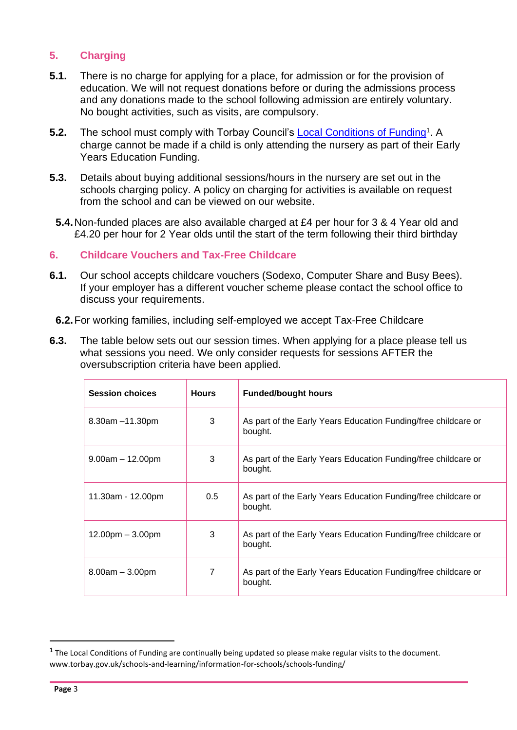# **5. Charging**

- **5.1.** There is no charge for applying for a place, for admission or for the provision of education. We will not request donations before or during the admissions process and any donations made to the school following admission are entirely voluntary. No bought activities, such as visits, are compulsory.
- 5.2. The school must comply with Torbay Council's **[Local Conditions of Funding](http://www.torbay.gov.uk/children-and-families/childcare/30-hours-free-childcare-providers/)**<sup>1</sup>. A charge cannot be made if a child is only attending the nursery as part of their Early Years Education Funding.
- **5.3.** Details about buying additional sessions/hours in the nursery are set out in the schools charging policy. A policy on charging for activities is available on request from the school and can be viewed on our website.
- **5.4.**Non-funded places are also available charged at £4 per hour for 3 & 4 Year old and £4.20 per hour for 2 Year olds until the start of the term following their third birthday

# **6. Childcare Vouchers and Tax-Free Childcare**

- **6.1.** Our school accepts childcare vouchers (Sodexo, Computer Share and Busy Bees). If your employer has a different voucher scheme please contact the school office to discuss your requirements.
- **6.2.**For working families, including self-employed we accept Tax-Free Childcare
- **6.3.** The table below sets out our session times. When applying for a place please tell us what sessions you need. We only consider requests for sessions AFTER the oversubscription criteria have been applied.

| <b>Session choices</b> | <b>Hours</b> | <b>Funded/bought hours</b>                                                |  |
|------------------------|--------------|---------------------------------------------------------------------------|--|
| $8.30$ am $-11.30$ pm  | 3            | As part of the Early Years Education Funding/free childcare or<br>bought. |  |
| $9.00am - 12.00pm$     | 3            | As part of the Early Years Education Funding/free childcare or<br>bought. |  |
| 11.30am - 12.00pm      | 0.5          | As part of the Early Years Education Funding/free childcare or<br>bought. |  |
| $12.00pm - 3.00pm$     | 3            | As part of the Early Years Education Funding/free childcare or<br>bought. |  |
| $8.00am - 3.00pm$      | 7            | As part of the Early Years Education Funding/free childcare or<br>bought. |  |

 $1$  The Local Conditions of Funding are continually being updated so please make regular visits to the document. www.torbay.gov.uk/schools-and-learning/information-for-schools/schools-funding/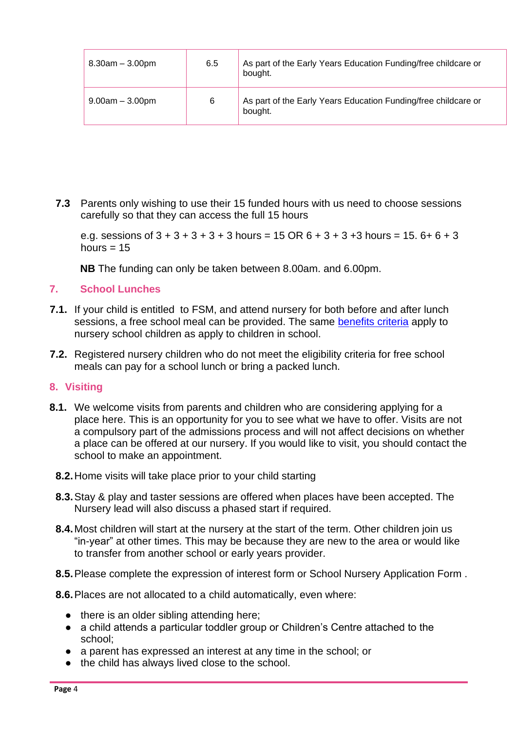| $8.30am - 3.00pm$ | 6.5 | As part of the Early Years Education Funding/free childcare or<br>bought. |
|-------------------|-----|---------------------------------------------------------------------------|
| $9.00am - 3.00pm$ |     | As part of the Early Years Education Funding/free childcare or            |
| 6                 |     | bought.                                                                   |

**7.3** Parents only wishing to use their 15 funded hours with us need to choose sessions carefully so that they can access the full 15 hours

e.g. sessions of  $3 + 3 + 3 + 3 + 3$  hours = 15 OR  $6 + 3 + 3 + 3$  hours = 15.  $6 + 6 + 3$ hours  $= 15$ 

**NB** The funding can only be taken between 8.00am. and 6.00pm.

# **7. School Lunches**

- **7.1.** If your child is entitled to FSM, and attend nursery for both before and after lunch sessions, a free school meal can be provided. The same [benefits criteria](http://www.torbay.gov.uk/schools-and-learning/fsm/) apply to nursery school children as apply to children in school.
- **7.2.** Registered nursery children who do not meet the eligibility criteria for free school meals can pay for a school lunch or bring a packed lunch.

# **8. Visiting**

- **8.1.** We welcome visits from parents and children who are considering applying for a place here. This is an opportunity for you to see what we have to offer. Visits are not a compulsory part of the admissions process and will not affect decisions on whether a place can be offered at our nursery. If you would like to visit, you should contact the school to make an appointment.
	- **8.2.**Home visits will take place prior to your child starting
	- **8.3.**Stay & play and taster sessions are offered when places have been accepted. The Nursery lead will also discuss a phased start if required.
	- **8.4.**Most children will start at the nursery at the start of the term. Other children join us "in-year" at other times. This may be because they are new to the area or would like to transfer from another school or early years provider.
	- **8.5.**Please complete the expression of interest form or School Nursery Application Form .
	- **8.6.**Places are not allocated to a child automatically, even where:
		- there is an older sibling attending here;
		- a child attends a particular toddler group or Children's Centre attached to the school;
		- a parent has expressed an interest at any time in the school; or
		- the child has always lived close to the school.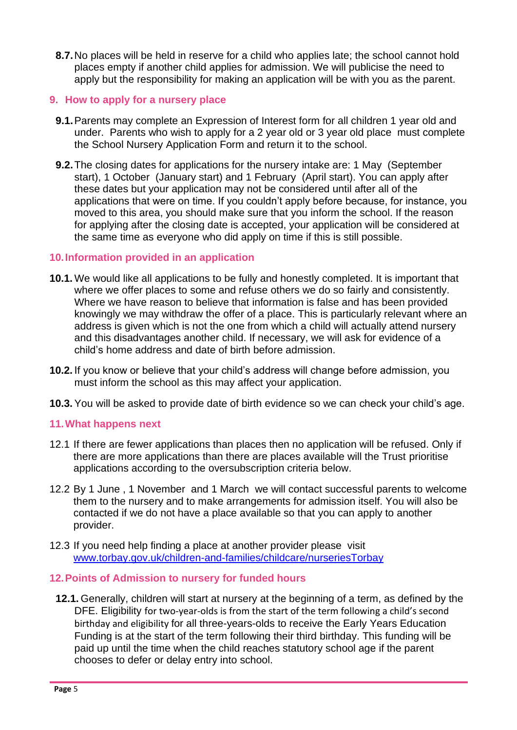**8.7.**No places will be held in reserve for a child who applies late; the school cannot hold places empty if another child applies for admission. We will publicise the need to apply but the responsibility for making an application will be with you as the parent.

# **9. How to apply for a nursery place**

- **9.1.**Parents may complete an Expression of Interest form for all children 1 year old and under. Parents who wish to apply for a 2 year old or 3 year old place must complete th[e](https://devoncc.sharepoint.com/sites/PublicDocs/Education/_layouts/15/guestaccess.aspx?guestaccesstoken=QJJFfpIYCBOh5K6zvE%2bCKu25mTbnYCwCM%2fyZUrIk1Yk%3d&docid=0b594157e924f4614a65358482d2ae17f) School Nursery Application Form and return it to the school.
- **9.2.**The closing dates for applications for the nursery intake are: 1 May (September start), 1 October (January start) and 1 February (April start). You can apply after these dates but your application may not be considered until after all of the applications that were on time. If you couldn't apply before because, for instance, you moved to this area, you should make sure that you inform the school. If the reason for applying after the closing date is accepted, your application will be considered at the same time as everyone who did apply on time if this is still possible.

# **10.Information provided in an application**

- **10.1.** We would like all applications to be fully and honestly completed. It is important that where we offer places to some and refuse others we do so fairly and consistently. Where we have reason to believe that information is false and has been provided knowingly we may withdraw the offer of a place. This is particularly relevant where an address is given which is not the one from which a child will actually attend nursery and this disadvantages another child. If necessary, we will ask for evidence of a child's home address and date of birth before admission.
- **10.2.** If you know or believe that your child's address will change before admission, you must inform the school as this may affect your application.
- **10.3.**You will be asked to provide date of birth evidence so we can check your child's age.

# **11.What happens next**

- 12.1 If there are fewer applications than places then no application will be refused. Only if there are more applications than there are places available will the Trust prioritise applications according to the oversubscription criteria below.
- 12.2 By 1 June , 1 November and 1 March we will contact successful parents to welcome them to the nursery and to make arrangements for admission itself. You will also be contacted if we do not have a place available so that you can apply to another provider.
- 12.3 If you need help finding a place at another provider please visit [www.torbay.gov.uk/children-and-families/childcare/nurseriesTorbay](http://www.torbay.gov.uk/children-and-families/childcare/nurseries/)
- **12.Points of Admission to nursery for funded hours**
- **12.1.** Generally, children will start at nursery at the beginning of a term, as defined by the DFE. Eligibility for two-year-olds is from the start of the term following a child's second birthday and eligibility for all three-years-olds to receive the Early Years Education Funding is at the start of the term following their third birthday. This funding will be paid up until the time when the child reaches statutory school age if the parent chooses to defer or delay entry into school.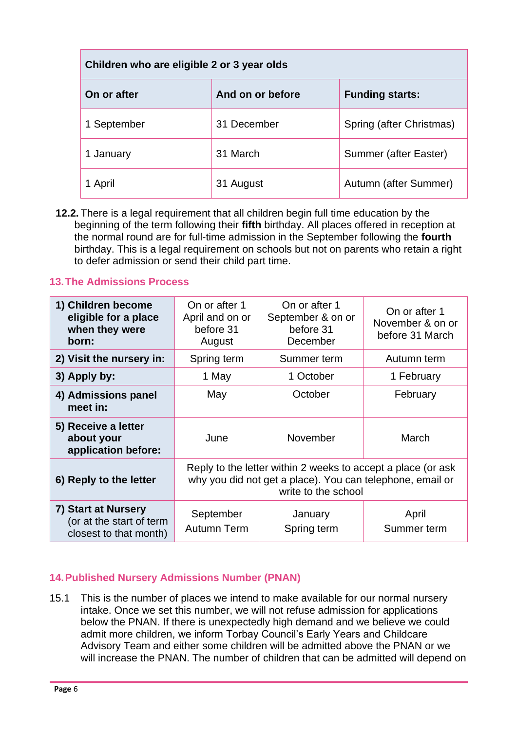| Children who are eligible 2 or 3 year olds |                  |                          |  |  |
|--------------------------------------------|------------------|--------------------------|--|--|
| On or after                                | And on or before | <b>Funding starts:</b>   |  |  |
| 1 September                                | 31 December      | Spring (after Christmas) |  |  |
| 1 January                                  | 31 March         | Summer (after Easter)    |  |  |
| 1 April                                    | 31 August        | Autumn (after Summer)    |  |  |

**12.2.** There is a legal requirement that all children begin full time education by the beginning of the term following their **fifth** birthday. All places offered in reception at the normal round are for full-time admission in the September following the **fourth** birthday. This is a legal requirement on schools but not on parents who retain a right to defer admission or send their child part time.

# **13.The Admissions Process**

| 1) Children become<br>eligible for a place<br>when they were<br>born:     | On or after 1<br>April and on or<br>before 31<br>August                                                                                          | On or after 1<br>September & on or<br>before 31<br>December | On or after 1<br>November & on or<br>before 31 March |
|---------------------------------------------------------------------------|--------------------------------------------------------------------------------------------------------------------------------------------------|-------------------------------------------------------------|------------------------------------------------------|
| 2) Visit the nursery in:                                                  | Spring term                                                                                                                                      | Summer term                                                 | Autumn term                                          |
| 3) Apply by:                                                              | 1 May                                                                                                                                            | 1 October                                                   | 1 February                                           |
| 4) Admissions panel<br>meet in:                                           | May                                                                                                                                              | October                                                     | February                                             |
| 5) Receive a letter<br>about your<br>application before:                  | June                                                                                                                                             | November                                                    | March                                                |
| 6) Reply to the letter                                                    | Reply to the letter within 2 weeks to accept a place (or ask<br>why you did not get a place). You can telephone, email or<br>write to the school |                                                             |                                                      |
| 7) Start at Nursery<br>(or at the start of term<br>closest to that month) | September<br><b>Autumn Term</b>                                                                                                                  | January<br>Spring term                                      | April<br>Summer term                                 |

# **14.Published Nursery Admissions Number (PNAN)**

15.1 This is the number of places we intend to make available for our normal nursery intake. Once we set this number, we will not refuse admission for applications below the PNAN. If there is unexpectedly high demand and we believe we could admit more children, we inform Torbay Council's Early Years and Childcare Advisory Team and either some children will be admitted above the PNAN or we will increase the PNAN. The number of children that can be admitted will depend on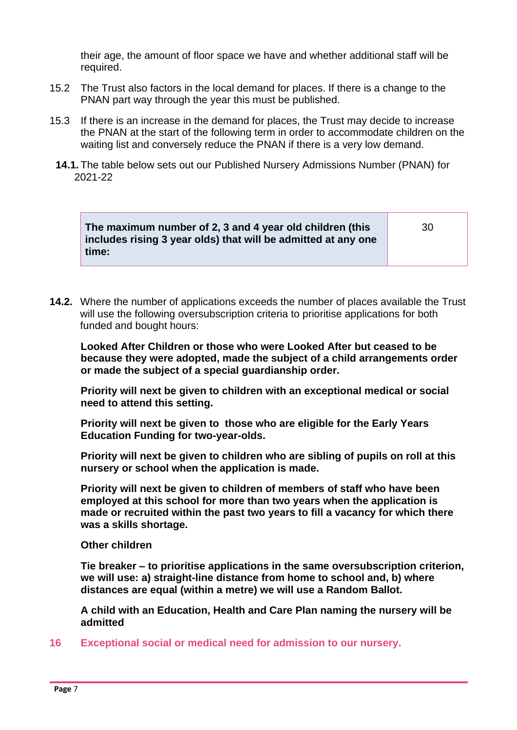their age, the amount of floor space we have and whether additional staff will be required.

- 15.2 The Trust also factors in the local demand for places. If there is a change to the PNAN part way through the year this must be published.
- 15.3 If there is an increase in the demand for places, the Trust may decide to increase the PNAN at the start of the following term in order to accommodate children on the waiting list and conversely reduce the PNAN if there is a very low demand.
- **14.1.** The table below sets out our Published Nursery Admissions Number (PNAN) for 2021-22

**The maximum number of 2, 3 and 4 year old children (this includes rising 3 year olds) that will be admitted at any one time:**

30

**14.2.** Where the number of applications exceeds the number of places available the Trust will use the following oversubscription criteria to prioritise applications for both funded and bought hours:

**Looked After Children or those who were Looked After but ceased to be because they were adopted, made the subject of a child arrangements order or made the subject of a special guardianship order.** 

**Priority will next be given to children with an exceptional medical or social need to attend this setting.**

**Priority will next be given to those who are eligible for the Early Years Education Funding for two-year-olds.**

**Priority will next be given to children who are sibling of pupils on roll at this nursery or school when the application is made.**

**Priority will next be given to children of members of staff who have been employed at this school for more than two years when the application is made or recruited within the past two years to fill a vacancy for which there was a skills shortage.** 

**Other children**

**Tie breaker – to prioritise applications in the same oversubscription criterion, we will use: a) straight-line distance from home to school and, b) where distances are equal (within a metre) we will use a Random Ballot.**

**A child with an Education, Health and Care Plan naming the nursery will be admitted**

**16 Exceptional social or medical need for admission to our nursery.**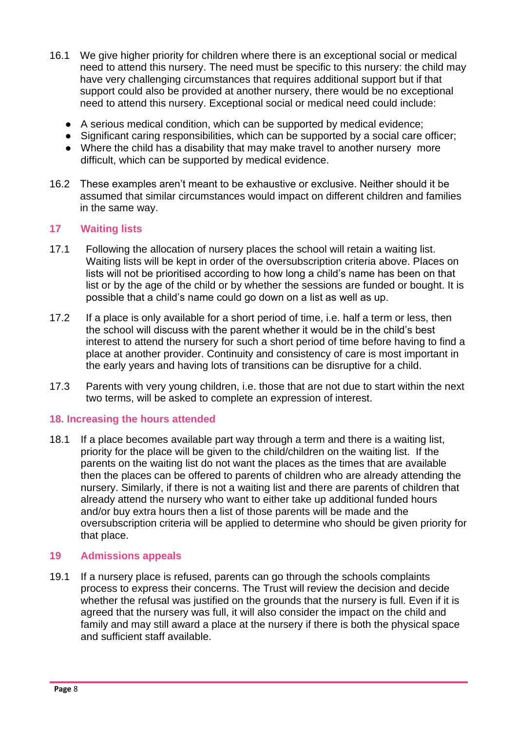- 16.1 We give higher priority for children where there is an exceptional social or medical need to attend this nursery. The need must be specific to this nursery: the child may have very challenging circumstances that requires additional support but if that support could also be provided at another nursery, there would be no exceptional need to attend this nursery. Exceptional social or medical need could include:
	- A serious medical condition, which can be supported by medical evidence;
	- Significant caring responsibilities, which can be supported by a social care officer;
	- Where the child has a disability that may make travel to another nursery more difficult, which can be supported by medical evidence.
- 16.2 These examples aren't meant to be exhaustive or exclusive. Neither should it be assumed that similar circumstances would impact on different children and families in the same way.

# **17 Waiting lists**

- 17.1 Following the allocation of nursery places the school will retain a waiting list. Waiting lists will be kept in order of the oversubscription criteria above. Places on lists will not be prioritised according to how long a child's name has been on that list or by the age of the child or by whether the sessions are funded or bought. It is possible that a child's name could go down on a list as well as up.
- 17.2 If a place is only available for a short period of time, i.e. half a term or less, then the school will discuss with the parent whether it would be in the child's best interest to attend the nursery for such a short period of time before having to find a place at another provider. Continuity and consistency of care is most important in the early years and having lots of transitions can be disruptive for a child.
- 17.3 Parents with very young children, i.e. those that are not due to start within the next two terms, will be asked to complete an expression of interest.

# **18. Increasing the hours attended**

18.1 If a place becomes available part way through a term and there is a waiting list, priority for the place will be given to the child/children on the waiting list. If the parents on the waiting list do not want the places as the times that are available then the places can be offered to parents of children who are already attending the nursery. Similarly, if there is not a waiting list and there are parents of children that already attend the nursery who want to either take up additional funded hours and/or buy extra hours then a list of those parents will be made and the oversubscription criteria will be applied to determine who should be given priority for that place.

# **19 Admissions appeals**

19.1 If a nursery place is refused, parents can go through the schools complaints process to express their concerns. The Trust will review the decision and decide whether the refusal was justified on the grounds that the nursery is full. Even if it is agreed that the nursery was full, it will also consider the impact on the child and family and may still award a place at the nursery if there is both the physical space and sufficient staff available.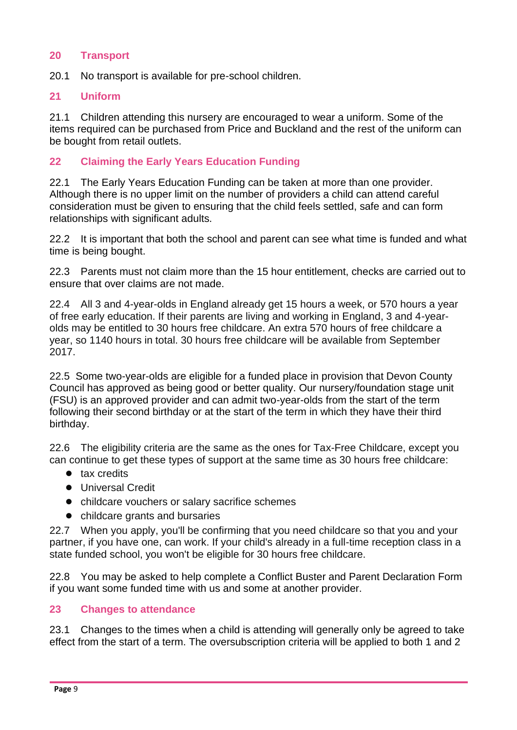# **20 Transport**

20.1 No transport is available for pre-school children.

#### **21 Uniform**

21.1 Children attending this nursery are encouraged to wear a uniform. Some of the items required can be purchased from Price and Buckland and the rest of the uniform can be bought from retail outlets.

# **22 Claiming the Early Years Education Funding**

22.1 The Early Years Education Funding can be taken at more than one provider. Although there is no upper limit on the number of providers a child can attend careful consideration must be given to ensuring that the child feels settled, safe and can form relationships with significant adults.

22.2 It is important that both the school and parent can see what time is funded and what time is being bought.

22.3 Parents must not claim more than the 15 hour entitlement, checks are carried out to ensure that over claims are not made.

22.4 All 3 and 4-year-olds in England already get 15 hours a week, or 570 hours a year of free early education. If their parents are living and working in England, 3 and 4-yearolds may be entitled to 30 hours free childcare. An extra 570 hours of free childcare a year, so 1140 hours in total. 30 hours free childcare will be available from September 2017.

22.5 Some two-year-olds are eligible for a funded place in provision that Devon County Council has approved as being good or better quality. Our nursery/foundation stage unit (FSU) is an approved provider and can admit two-year-olds from the start of the term following their second birthday or at the start of the term in which they have their third birthday.

22.6 The eligibility criteria are the same as the ones for Tax-Free Childcare, except you can continue to get these types of support at the same time as 30 hours free childcare:

- tax credits
- Universal Credit
- childcare vouchers or salary sacrifice schemes
- childcare grants and bursaries

22.7 When you apply, you'll be confirming that you need childcare so that you and your partner, if you have one, can work. If your child's already in a full-time reception class in a state funded school, you won't be eligible for 30 hours free childcare.

22.8 You may be asked to help complete a Conflict Buster and Parent Declaration Form if you want some funded time with us and some at another provider.

# **23 Changes to attendance**

23.1 Changes to the times when a child is attending will generally only be agreed to take effect from the start of a term. The oversubscription criteria will be applied to both 1 and 2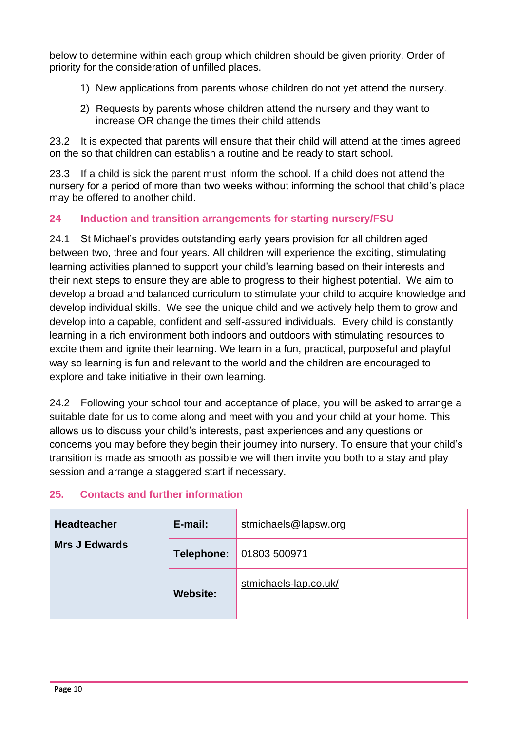below to determine within each group which children should be given priority. Order of priority for the consideration of unfilled places.

- 1) New applications from parents whose children do not yet attend the nursery.
- 2) Requests by parents whose children attend the nursery and they want to increase OR change the times their child attends

23.2 It is expected that parents will ensure that their child will attend at the times agreed on the so that children can establish a routine and be ready to start school.

23.3 If a child is sick the parent must inform the school. If a child does not attend the nursery for a period of more than two weeks without informing the school that child's place may be offered to another child.

# **24 Induction and transition arrangements for starting nursery/FSU**

24.1 St Michael's provides outstanding early years provision for all children aged between two, three and four years. All children will experience the exciting, stimulating learning activities planned to support your child's learning based on their interests and their next steps to ensure they are able to progress to their highest potential. We aim to develop a broad and balanced curriculum to stimulate your child to acquire knowledge and develop individual skills. We see the unique child and we actively help them to grow and develop into a capable, confident and self-assured individuals. Every child is constantly learning in a rich environment both indoors and outdoors with stimulating resources to excite them and ignite their learning. We learn in a fun, practical, purposeful and playful way so learning is fun and relevant to the world and the children are encouraged to explore and take initiative in their own learning.

24.2 Following your school tour and acceptance of place, you will be asked to arrange a suitable date for us to come along and meet with you and your child at your home. This allows us to discuss your child's interests, past experiences and any questions or concerns you may before they begin their journey into nursery. To ensure that your child's transition is made as smooth as possible we will then invite you both to a stay and play session and arrange a staggered start if necessary.

# **25. Contacts and further information**

| <b>Headteacher</b><br><b>Mrs J Edwards</b> | E-mail:         | stmichaels@lapsw.org  |
|--------------------------------------------|-----------------|-----------------------|
|                                            | Telephone:      | 01803 500971          |
|                                            | <b>Website:</b> | stmichaels-lap.co.uk/ |